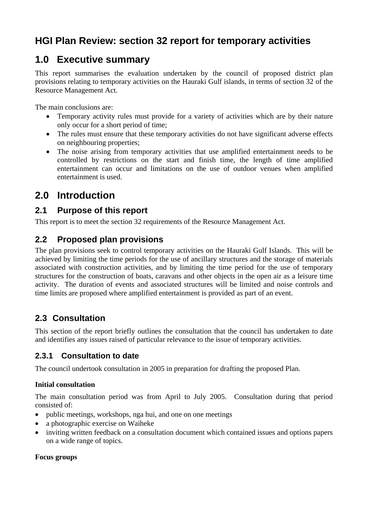# **HGI Plan Review: section 32 report for temporary activities**

## **1.0 Executive summary**

This report summarises the evaluation undertaken by the council of proposed district plan provisions relating to temporary activities on the Hauraki Gulf islands, in terms of section 32 of the Resource Management Act.

The main conclusions are:

- Temporary activity rules must provide for a variety of activities which are by their nature only occur for a short period of time;
- The rules must ensure that these temporary activities do not have significant adverse effects on neighbouring properties;
- The noise arising from temporary activities that use amplified entertainment needs to be controlled by restrictions on the start and finish time, the length of time amplified entertainment can occur and limitations on the use of outdoor venues when amplified entertainment is used.

## **2.0 Introduction**

## **2.1 Purpose of this report**

This report is to meet the section 32 requirements of the Resource Management Act.

## **2.2 Proposed plan provisions**

The plan provisions seek to control temporary activities on the Hauraki Gulf Islands. This will be achieved by limiting the time periods for the use of ancillary structures and the storage of materials associated with construction activities, and by limiting the time period for the use of temporary structures for the construction of boats, caravans and other objects in the open air as a leisure time activity. The duration of events and associated structures will be limited and noise controls and time limits are proposed where amplified entertainment is provided as part of an event.

## **2.3 Consultation**

This section of the report briefly outlines the consultation that the council has undertaken to date and identifies any issues raised of particular relevance to the issue of temporary activities.

### **2.3.1 Consultation to date**

The council undertook consultation in 2005 in preparation for drafting the proposed Plan.

#### **Initial consultation**

The main consultation period was from April to July 2005. Consultation during that period consisted of:

- public meetings, workshops, nga hui, and one on one meetings
- a photographic exercise on Waiheke
- inviting written feedback on a consultation document which contained issues and options papers on a wide range of topics.

#### **Focus groups**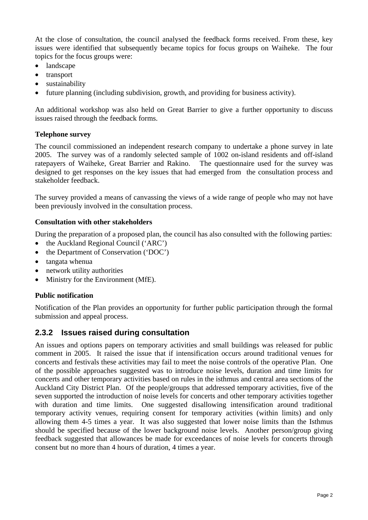At the close of consultation, the council analysed the feedback forms received. From these, key issues were identified that subsequently became topics for focus groups on Waiheke. The four topics for the focus groups were:

- landscape
- transport
- sustainability
- future planning (including subdivision, growth, and providing for business activity).

An additional workshop was also held on Great Barrier to give a further opportunity to discuss issues raised through the feedback forms.

#### **Telephone survey**

The council commissioned an independent research company to undertake a phone survey in late 2005. The survey was of a randomly selected sample of 1002 on-island residents and off-island ratepayers of Waiheke, Great Barrier and Rakino. The questionnaire used for the survey was designed to get responses on the key issues that had emerged from the consultation process and stakeholder feedback.

The survey provided a means of canvassing the views of a wide range of people who may not have been previously involved in the consultation process.

#### **Consultation with other stakeholders**

During the preparation of a proposed plan, the council has also consulted with the following parties:

- the Auckland Regional Council ('ARC')
- the Department of Conservation ('DOC')
- tangata whenua
- network utility authorities
- Ministry for the Environment (MfE).

#### **Public notification**

Notification of the Plan provides an opportunity for further public participation through the formal submission and appeal process.

#### **2.3.2 Issues raised during consultation**

An issues and options papers on temporary activities and small buildings was released for public comment in 2005. It raised the issue that if intensification occurs around traditional venues for concerts and festivals these activities may fail to meet the noise controls of the operative Plan. One of the possible approaches suggested was to introduce noise levels, duration and time limits for concerts and other temporary activities based on rules in the isthmus and central area sections of the Auckland City District Plan. Of the people/groups that addressed temporary activities, five of the seven supported the introduction of noise levels for concerts and other temporary activities together with duration and time limits. One suggested disallowing intensification around traditional temporary activity venues, requiring consent for temporary activities (within limits) and only allowing them 4-5 times a year. It was also suggested that lower noise limits than the Isthmus should be specified because of the lower background noise levels. Another person/group giving feedback suggested that allowances be made for exceedances of noise levels for concerts through consent but no more than 4 hours of duration, 4 times a year.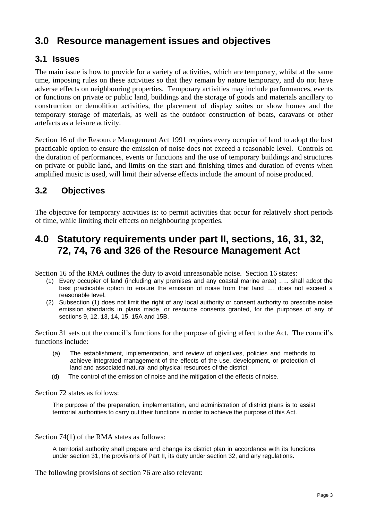# **3.0 Resource management issues and objectives**

### **3.1 Issues**

The main issue is how to provide for a variety of activities, which are temporary, whilst at the same time, imposing rules on these activities so that they remain by nature temporary, and do not have adverse effects on neighbouring properties. Temporary activities may include performances, events or functions on private or public land, buildings and the storage of goods and materials ancillary to construction or demolition activities, the placement of display suites or show homes and the temporary storage of materials, as well as the outdoor construction of boats, caravans or other artefacts as a leisure activity.

Section 16 of the Resource Management Act 1991 requires every occupier of land to adopt the best practicable option to ensure the emission of noise does not exceed a reasonable level. Controls on the duration of performances, events or functions and the use of temporary buildings and structures on private or public land, and limits on the start and finishing times and duration of events when amplified music is used, will limit their adverse effects include the amount of noise produced.

## **3.2 Objectives**

The objective for temporary activities is: to permit activities that occur for relatively short periods of time, while limiting their effects on neighbouring properties.

## **4.0 Statutory requirements under part II, sections, 16, 31, 32, 72, 74, 76 and 326 of the Resource Management Act**

Section 16 of the RMA outlines the duty to avoid unreasonable noise. Section 16 states:

- (1) Every occupier of land (including any premises and any coastal marine area) ….. shall adopt the best practicable option to ensure the emission of noise from that land …. does not exceed a reasonable level.
- (2) Subsection (1) does not limit the right of any local authority or consent authority to prescribe noise emission standards in plans made, or resource consents granted, for the purposes of any of sections 9, 12, 13, 14, 15, 15A and 15B.

Section 31 sets out the council's functions for the purpose of giving effect to the Act. The council's functions include:

- (a) The establishment, implementation, and review of objectives, policies and methods to achieve integrated management of the effects of the use, development, or protection of land and associated natural and physical resources of the district:
- (d) The control of the emission of noise and the mitigation of the effects of noise.

Section 72 states as follows:

The purpose of the preparation, implementation, and administration of district plans is to assist territorial authorities to carry out their functions in order to achieve the purpose of this Act.

Section 74(1) of the RMA states as follows:

A territorial authority shall prepare and change its district plan in accordance with its functions under section 31, the provisions of Part II, its duty under section 32, and any regulations.

The following provisions of section 76 are also relevant: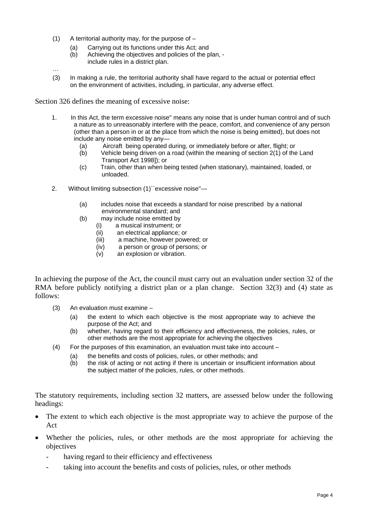- (1) A territorial authority may, for the purpose of  $-$ 
	- (a) Carrying out its functions under this Act; and
	- (b) Achieving the objectives and policies of the plan, include rules in a district plan.

…

(3) In making a rule, the territorial authority shall have regard to the actual or potential effect on the environment of activities, including, in particular, any adverse effect.

Section 326 defines the meaning of excessive noise:

- 1. In this Act, the term excessive noise'' means any noise that is under human control and of such a nature as to unreasonably interfere with the peace, comfort, and convenience of any person (other than a person in or at the place from which the noise is being emitted), but does not include any noise emitted by any—<br>(a) Aircraft being operated during, or immediately before or after, flight; or
	-
	- (a) Aircraft being operated during, or immediately before or after, flight; or (b) Vehicle being driven on a road (within the meaning of section 2(1) of the Land Transport Act 1998]); or
	- (c) Train, other than when being tested (when stationary), maintained, loaded, or unloaded.
- 2. Without limiting subsection (1)``excessive noise''—
	- (a) includes noise that exceeds a standard for noise prescribed by a national environmental standard; and
	- (b) may include noise emitted by<br>
	(i) a musical instrument; or<br>
	(ii) an electrical appliance; or
		-
		-
		- (iii) a machine, however powered; or
		- (iv) a person or group of persons; or
		- (v) an explosion or vibration.

In achieving the purpose of the Act, the council must carry out an evaluation under section 32 of the RMA before publicly notifying a district plan or a plan change. Section 32(3) and (4) state as follows:

- (3) An evaluation must examine
	- (a) the extent to which each objective is the most appropriate way to achieve the purpose of the Act; and
	- (b) whether, having regard to their efficiency and effectiveness, the policies, rules, or other methods are the most appropriate for achieving the objectives
- (4) For the purposes of this examination, an evaluation must take into account
	- (a) the benefits and costs of policies, rules, or other methods; and (b) the risk of acting or not acting if there is uncertain or insufficie
		- the risk of acting or not acting if there is uncertain or insufficient information about the subject matter of the policies, rules, or other methods.

The statutory requirements, including section 32 matters, are assessed below under the following headings:

- The extent to which each objective is the most appropriate way to achieve the purpose of the Act
- Whether the policies, rules, or other methods are the most appropriate for achieving the objectives
	- having regard to their efficiency and effectiveness
	- taking into account the benefits and costs of policies, rules, or other methods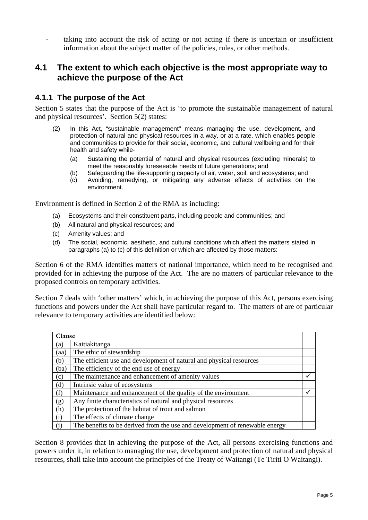taking into account the risk of acting or not acting if there is uncertain or insufficient information about the subject matter of the policies, rules, or other methods.

### **4.1 The extent to which each objective is the most appropriate way to achieve the purpose of the Act**

### **4.1.1 The purpose of the Act**

Section 5 states that the purpose of the Act is 'to promote the sustainable management of natural and physical resources'. Section 5(2) states:

- (2) In this Act, "sustainable management'' means managing the use, development, and protection of natural and physical resources in a way, or at a rate, which enables people and communities to provide for their social, economic, and cultural wellbeing and for their health and safety while-
	- (a) Sustaining the potential of natural and physical resources (excluding minerals) to meet the reasonably foreseeable needs of future generations; and
	- (b) Safeguarding the life-supporting capacity of air, water, soil, and ecosystems; and
	- (c) Avoiding, remedying, or mitigating any adverse effects of activities on the environment.

Environment is defined in Section 2 of the RMA as including:

- (a) Ecosystems and their constituent parts, including people and communities; and
- (b) All natural and physical resources; and
- (c) Amenity values; and
- (d) The social, economic, aesthetic, and cultural conditions which affect the matters stated in paragraphs (a) to (c) of this definition or which are affected by those matters:

Section 6 of the RMA identifies matters of national importance, which need to be recognised and provided for in achieving the purpose of the Act. The are no matters of particular relevance to the proposed controls on temporary activities.

Section 7 deals with 'other matters' which, in achieving the purpose of this Act, persons exercising functions and powers under the Act shall have particular regard to. The matters of are of particular relevance to temporary activities are identified below:

| Clause |                                                                             |   |
|--------|-----------------------------------------------------------------------------|---|
| (a)    | Kaitiakitanga                                                               |   |
| (aa)   | The ethic of stewardship                                                    |   |
| (b)    | The efficient use and development of natural and physical resources         |   |
| (ba)   | The efficiency of the end use of energy                                     |   |
| (c)    | The maintenance and enhancement of amenity values                           |   |
| (d)    | Intrinsic value of ecosystems                                               |   |
| (f)    | Maintenance and enhancement of the quality of the environment               | ✓ |
| (g)    | Any finite characteristics of natural and physical resources                |   |
| (h)    | The protection of the habitat of trout and salmon                           |   |
| (i)    | The effects of climate change                                               |   |
| (i)    | The benefits to be derived from the use and development of renewable energy |   |

Section 8 provides that in achieving the purpose of the Act, all persons exercising functions and powers under it, in relation to managing the use, development and protection of natural and physical resources, shall take into account the principles of the Treaty of Waitangi (Te Tiriti O Waitangi).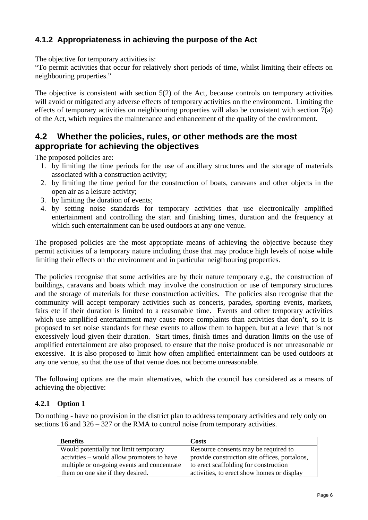## **4.1.2 Appropriateness in achieving the purpose of the Act**

The objective for temporary activities is:

"To permit activities that occur for relatively short periods of time, whilst limiting their effects on neighbouring properties."

The objective is consistent with section  $5(2)$  of the Act, because controls on temporary activities will avoid or mitigated any adverse effects of temporary activities on the environment. Limiting the effects of temporary activities on neighbouring properties will also be consistent with section 7(a) of the Act, which requires the maintenance and enhancement of the quality of the environment.

### **4.2 Whether the policies, rules, or other methods are the most appropriate for achieving the objectives**

The proposed policies are:

- 1. by limiting the time periods for the use of ancillary structures and the storage of materials associated with a construction activity;
- 2. by limiting the time period for the construction of boats, caravans and other objects in the open air as a leisure activity;
- 3. by limiting the duration of events;
- 4. by setting noise standards for temporary activities that use electronically amplified entertainment and controlling the start and finishing times, duration and the frequency at which such entertainment can be used outdoors at any one venue.

The proposed policies are the most appropriate means of achieving the objective because they permit activities of a temporary nature including those that may produce high levels of noise while limiting their effects on the environment and in particular neighbouring properties.

The policies recognise that some activities are by their nature temporary e.g., the construction of buildings, caravans and boats which may involve the construction or use of temporary structures and the storage of materials for these construction activities. The policies also recognise that the community will accept temporary activities such as concerts, parades, sporting events, markets, fairs etc if their duration is limited to a reasonable time. Events and other temporary activities which use amplified entertainment may cause more complaints than activities that don't, so it is proposed to set noise standards for these events to allow them to happen, but at a level that is not excessively loud given their duration. Start times, finish times and duration limits on the use of amplified entertainment are also proposed, to ensure that the noise produced is not unreasonable or excessive. It is also proposed to limit how often amplified entertainment can be used outdoors at any one venue, so that the use of that venue does not become unreasonable.

The following options are the main alternatives, which the council has considered as a means of achieving the objective:

#### **4.2.1 Option 1**

Do nothing - have no provision in the district plan to address temporary activities and rely only on sections 16 and 326 – 327 or the RMA to control noise from temporary activities.

| <b>Benefits</b>                             | <b>Costs</b>                                  |
|---------------------------------------------|-----------------------------------------------|
| Would potentially not limit temporary       | Resource consents may be required to          |
| activities – would allow promoters to have  | provide construction site offices, portaloos, |
| multiple or on-going events and concentrate | to erect scaffolding for construction         |
| them on one site if they desired.           | activities, to erect show homes or display    |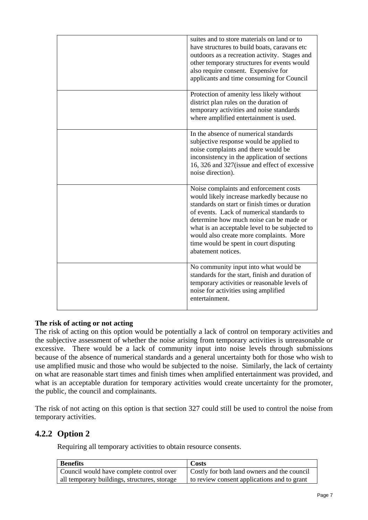| suites and to store materials on land or to<br>have structures to build boats, caravans etc<br>outdoors as a recreation activity. Stages and<br>other temporary structures for events would<br>also require consent. Expensive for<br>applicants and time consuming for Council                                                                                                            |
|--------------------------------------------------------------------------------------------------------------------------------------------------------------------------------------------------------------------------------------------------------------------------------------------------------------------------------------------------------------------------------------------|
| Protection of amenity less likely without<br>district plan rules on the duration of<br>temporary activities and noise standards<br>where amplified entertainment is used.                                                                                                                                                                                                                  |
| In the absence of numerical standards<br>subjective response would be applied to<br>noise complaints and there would be<br>inconsistency in the application of sections<br>16, 326 and 327 (issue and effect of excessive<br>noise direction).                                                                                                                                             |
| Noise complaints and enforcement costs<br>would likely increase markedly because no<br>standards on start or finish times or duration<br>of events. Lack of numerical standards to<br>determine how much noise can be made or<br>what is an acceptable level to be subjected to<br>would also create more complaints. More<br>time would be spent in court disputing<br>abatement notices. |
| No community input into what would be<br>standards for the start, finish and duration of<br>temporary activities or reasonable levels of<br>noise for activities using amplified<br>entertainment.                                                                                                                                                                                         |

#### **The risk of acting or not acting**

The risk of acting on this option would be potentially a lack of control on temporary activities and the subjective assessment of whether the noise arising from temporary activities is unreasonable or excessive. There would be a lack of community input into noise levels through submissions because of the absence of numerical standards and a general uncertainty both for those who wish to use amplified music and those who would be subjected to the noise. Similarly, the lack of certainty on what are reasonable start times and finish times when amplified entertainment was provided, and what is an acceptable duration for temporary activities would create uncertainty for the promoter, the public, the council and complainants.

The risk of not acting on this option is that section 327 could still be used to control the noise from temporary activities.

### **4.2.2 Option 2**

Requiring all temporary activities to obtain resource consents.

| <b>Benefits</b>                              | Costs                                       |
|----------------------------------------------|---------------------------------------------|
| Council would have complete control over     | Costly for both land owners and the council |
| all temporary buildings, structures, storage | to review consent applications and to grant |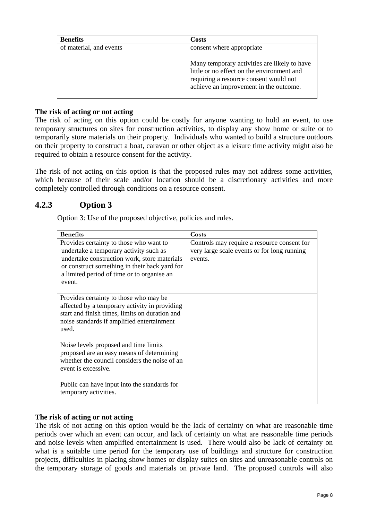| <b>Benefits</b>         | <b>Costs</b>                                                                                                                                                                   |
|-------------------------|--------------------------------------------------------------------------------------------------------------------------------------------------------------------------------|
| of material, and events | consent where appropriate                                                                                                                                                      |
|                         | Many temporary activities are likely to have<br>little or no effect on the environment and<br>requiring a resource consent would not<br>achieve an improvement in the outcome. |

#### **The risk of acting or not acting**

The risk of acting on this option could be costly for anyone wanting to hold an event, to use temporary structures on sites for construction activities, to display any show home or suite or to temporarily store materials on their property. Individuals who wanted to build a structure outdoors on their property to construct a boat, caravan or other object as a leisure time activity might also be required to obtain a resource consent for the activity.

The risk of not acting on this option is that the proposed rules may not address some activities, which because of their scale and/or location should be a discretionary activities and more completely controlled through conditions on a resource consent.

## **4.2.3 Option 3**

Option 3: Use of the proposed objective, policies and rules.

| <b>Benefits</b>                                                                                                                                                                                                                            | Costs                                                                                                 |
|--------------------------------------------------------------------------------------------------------------------------------------------------------------------------------------------------------------------------------------------|-------------------------------------------------------------------------------------------------------|
| Provides certainty to those who want to<br>undertake a temporary activity such as<br>undertake construction work, store materials<br>or construct something in their back yard for<br>a limited period of time or to organise an<br>event. | Controls may require a resource consent for<br>very large scale events or for long running<br>events. |
| Provides certainty to those who may be<br>affected by a temporary activity in providing<br>start and finish times, limits on duration and<br>noise standards if amplified entertainment<br>used.                                           |                                                                                                       |
| Noise levels proposed and time limits<br>proposed are an easy means of determining<br>whether the council considers the noise of an<br>event is excessive.                                                                                 |                                                                                                       |
| Public can have input into the standards for<br>temporary activities.                                                                                                                                                                      |                                                                                                       |

#### **The risk of acting or not acting**

The risk of not acting on this option would be the lack of certainty on what are reasonable time periods over which an event can occur, and lack of certainty on what are reasonable time periods and noise levels when amplified entertainment is used. There would also be lack of certainty on what is a suitable time period for the temporary use of buildings and structure for construction projects, difficulties in placing show homes or display suites on sites and unreasonable controls on the temporary storage of goods and materials on private land. The proposed controls will also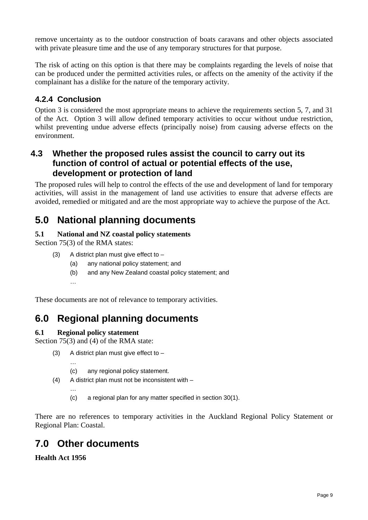remove uncertainty as to the outdoor construction of boats caravans and other objects associated with private pleasure time and the use of any temporary structures for that purpose.

The risk of acting on this option is that there may be complaints regarding the levels of noise that can be produced under the permitted activities rules, or affects on the amenity of the activity if the complainant has a dislike for the nature of the temporary activity.

### **4.2.4 Conclusion**

Option 3 is considered the most appropriate means to achieve the requirements section 5, 7, and 31 of the Act. Option 3 will allow defined temporary activities to occur without undue restriction, whilst preventing undue adverse effects (principally noise) from causing adverse effects on the environment.

## **4.3 Whether the proposed rules assist the council to carry out its function of control of actual or potential effects of the use, development or protection of land**

The proposed rules will help to control the effects of the use and development of land for temporary activities, will assist in the management of land use activities to ensure that adverse effects are avoided, remedied or mitigated and are the most appropriate way to achieve the purpose of the Act.

# **5.0 National planning documents**

#### **5.1 National and NZ coastal policy statements**

Section 75(3) of the RMA states:

- (3) A district plan must give effect to  $-$ 
	- (a) any national policy statement; and
	- (b) and any New Zealand coastal policy statement; and
	- …

These documents are not of relevance to temporary activities.

# **6.0 Regional planning documents**

#### **6.1 Regional policy statement**

Section 75(3) and (4) of the RMA state:

- (3) A district plan must give effect to  $-$ 
	- …

…

- (c) any regional policy statement.
- (4) A district plan must not be inconsistent with
	- (c) a regional plan for any matter specified in section 30(1).

There are no references to temporary activities in the Auckland Regional Policy Statement or Regional Plan: Coastal.

# **7.0 Other documents**

**Health Act 1956**